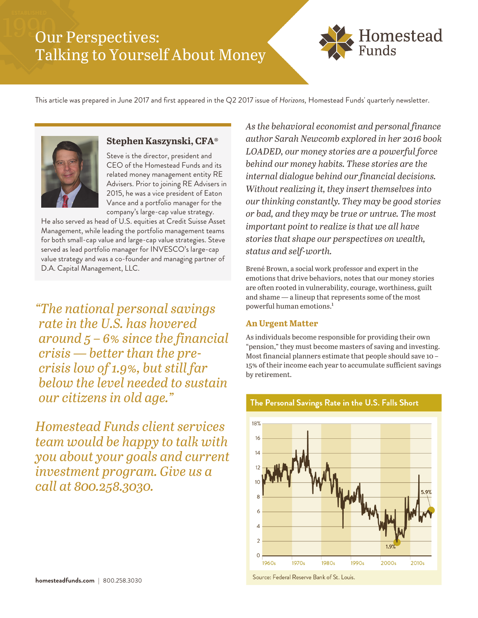# Our Perspectives: Talking to Yourself About Money



This article was prepared in June 2017 and first appeared in the Q2 2017 issue of *Horizons,* Homestead Funds' quarterly newsletter.



# **Stephen Kaszynski, CFA®**

Steve is the director, president and CEO of the Homestead Funds and its related money management entity RE Advisers. Prior to joining RE Advisers in 2015, he was a vice president of Eaton Vance and a portfolio manager for the company's large-cap value strategy.

He also served as head of U.S. equities at Credit Suisse Asset Management, while leading the portfolio management teams for both small-cap value and large-cap value strategies. Steve served as lead portfolio manager for INVESCO's large-cap value strategy and was a co-founder and managing partner of D.A. Capital Management, LLC.

*"The national personal savings rate in the U.S. has hovered around 5 – 6% since the financial crisis — better than the precrisis low of 1.9%, but still far below the level needed to sustain our citizens in old age."*

*Homestead Funds client services team would be happy to talk with you about your goals and current investment program. Give us a call at 800.258.3030.*

*As the behavioral economist and personal finance author Sarah Newcomb explored in her 2016 book LOADED, our money stories are a powerful force behind our money habits. These stories are the internal dialogue behind our financial decisions. Without realizing it, they insert themselves into our thinking constantly. They may be good stories or bad, and they may be true or untrue. The most important point to realize is that we all have stories that shape our perspectives on wealth, status and self-worth.* 

Brené Brown, a social work professor and expert in the emotions that drive behaviors, notes that our money stories are often rooted in vulnerability, courage, worthiness, guilt and shame — a lineup that represents some of the most powerful human emotions.<sup>1</sup>

#### **An Urgent Matter**

As individuals become responsible for providing their own "pension," they must become masters of saving and investing. Most financial planners estimate that people should save 10 – 15% of their income each year to accumulate sufficient savings by retirement.



#### The Personal Savings Rate in the U.S. Falls Short

Source: Federal Reserve Bank of St. Louis.